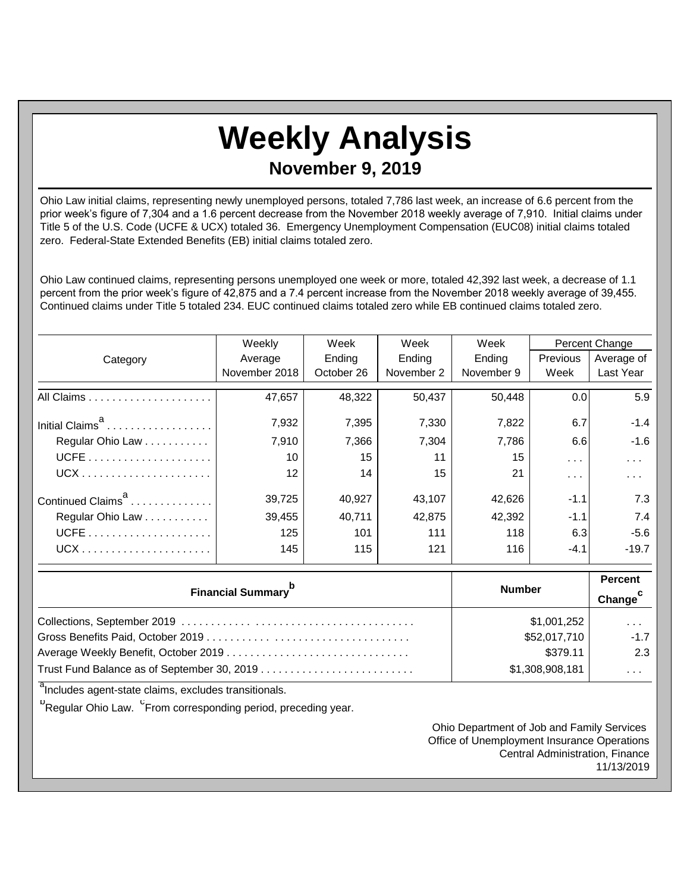## **Weekly Analysis**

**November 9, 2019**

Ohio Law initial claims, representing newly unemployed persons, totaled 7,786 last week, an increase of 6.6 percent from the prior week's figure of 7,304 and a 1.6 percent decrease from the November 2018 weekly average of 7,910. Initial claims under Title 5 of the U.S. Code (UCFE & UCX) totaled 36. Emergency Unemployment Compensation (EUC08) initial claims totaled zero. Federal-State Extended Benefits (EB) initial claims totaled zero.

Ohio Law continued claims, representing persons unemployed one week or more, totaled 42,392 last week, a decrease of 1.1 percent from the prior week's figure of 42,875 and a 7.4 percent increase from the November 2018 weekly average of 39,455. Continued claims under Title 5 totaled 234. EUC continued claims totaled zero while EB continued claims totaled zero.

|                               | Weekly            | Week<br>Week |            | Week       | Percent Change  |            |
|-------------------------------|-------------------|--------------|------------|------------|-----------------|------------|
| Category                      | Average           | Ending       | Ending     | Ending     | <b>Previous</b> | Average of |
|                               | November 2018     | October 26   | November 2 | November 9 | Week            | Last Year  |
|                               | 47,657            | 48,322       | 50,437     | 50,448     | 0.01            | 5.9        |
| Initial Claims <sup>a</sup>   | 7,932             | 7,395        | 7,330      | 7,822      | 6.7             | $-1.4$     |
| Regular Ohio Law              | 7,910             | 7,366        | 7,304      | 7,786      | 6.6             | $-1.6$     |
|                               | 10                | 15           | 11         | 15         | $\sim$ $\sim$   | $\cdots$   |
|                               | $12 \overline{ }$ | 14           | 15         | 21         | $\cdots$        | .          |
| Continued Claims <sup>a</sup> | 39,725            | 40,927       | 43,107     | 42,626     | $-1.1$          | 7.3        |
| Regular Ohio Law              | 39,455            | 40,711       | 42,875     | 42,392     | $-1.1$          | 7.4        |
|                               | 125               | 101          | 111        | 118        | 6.3             | $-5.6$     |
|                               | 145               | 115          | 121        | 116        | $-4.1$          | $-19.7$    |

| <b>Financial Summary</b> <sup>p</sup> | <b>Number</b>   | <b>Percent</b><br>Change <sup>c</sup> |
|---------------------------------------|-----------------|---------------------------------------|
|                                       | \$1,001,252     | $\cdots$                              |
|                                       | \$52,017,710    | $-1.7$                                |
| Average Weekly Benefit, October 2019  | \$379.11        | 2.3                                   |
|                                       | \$1,308,908,181 | $\cdots$                              |

<sup>a</sup>Includes agent-state claims, excludes transitionals.

<sup>b</sup>Regular Ohio Law. <sup>C</sup>From corresponding period, preceding year.

Ohio Department of Job and Family Services Office of Unemployment Insurance Operations Central Administration, Finance 11/13/2019